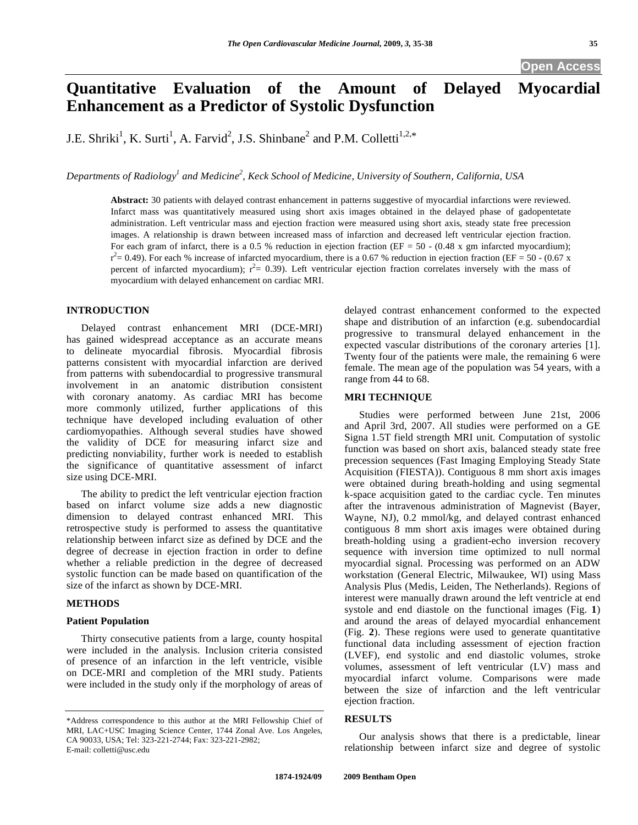# **Quantitative Evaluation of the Amount of Delayed Myocardial Enhancement as a Predictor of Systolic Dysfunction**

J.E. Shriki<sup>1</sup>, K. Surti<sup>1</sup>, A. Farvid<sup>2</sup>, J.S. Shinbane<sup>2</sup> and P.M. Colletti<sup>1,2,\*</sup>

Departments of Radiology<sup>1</sup> and Medicine<sup>2</sup>, Keck School of Medicine, University of Southern, California, USA

**Abstract:** 30 patients with delayed contrast enhancement in patterns suggestive of myocardial infarctions were reviewed. Infarct mass was quantitatively measured using short axis images obtained in the delayed phase of gadopentetate administration. Left ventricular mass and ejection fraction were measured using short axis, steady state free precession images. A relationship is drawn between increased mass of infarction and decreased left ventricular ejection fraction. For each gram of infarct, there is a 0.5 % reduction in ejection fraction (EF =  $50 - (0.48 \text{ x gm infarcted myocardium})$ ;  $r^2$  = 0.49). For each % increase of infarcted myocardium, there is a 0.67 % reduction in ejection fraction (EF = 50 - (0.67 x percent of infarcted myocardium);  $r^2 = 0.39$ ). Left ventricular ejection fraction correlates inversely with the mass of myocardium with delayed enhancement on cardiac MRI.

### **INTRODUCTION**

 Delayed contrast enhancement MRI (DCE-MRI) has gained widespread acceptance as an accurate means to delineate myocardial fibrosis. Myocardial fibrosis patterns consistent with myocardial infarction are derived from patterns with subendocardial to progressive transmural involvement in an anatomic distribution consistent with coronary anatomy. As cardiac MRI has become more commonly utilized, further applications of this technique have developed including evaluation of other cardiomyopathies. Although several studies have showed the validity of DCE for measuring infarct size and predicting nonviability, further work is needed to establish the significance of quantitative assessment of infarct size using DCE-MRI.

 The ability to predict the left ventricular ejection fraction based on infarct volume size adds a new diagnostic dimension to delayed contrast enhanced MRI. This retrospective study is performed to assess the quantitative relationship between infarct size as defined by DCE and the degree of decrease in ejection fraction in order to define whether a reliable prediction in the degree of decreased systolic function can be made based on quantification of the size of the infarct as shown by DCE-MRI.

#### **METHODS**

#### **Patient Population**

 Thirty consecutive patients from a large, county hospital were included in the analysis. Inclusion criteria consisted of presence of an infarction in the left ventricle, visible on DCE-MRI and completion of the MRI study. Patients were included in the study only if the morphology of areas of delayed contrast enhancement conformed to the expected shape and distribution of an infarction (e.g. subendocardial progressive to transmural delayed enhancement in the expected vascular distributions of the coronary arteries [1]. Twenty four of the patients were male, the remaining 6 were female. The mean age of the population was 54 years, with a range from 44 to 68.

#### **MRI TECHNIQUE**

 Studies were performed between June 21st, 2006 and April 3rd, 2007. All studies were performed on a GE Signa 1.5T field strength MRI unit. Computation of systolic function was based on short axis, balanced steady state free precession sequences (Fast Imaging Employing Steady State Acquisition (FIESTA)). Contiguous 8 mm short axis images were obtained during breath-holding and using segmental k-space acquisition gated to the cardiac cycle. Ten minutes after the intravenous administration of Magnevist (Bayer, Wayne, NJ), 0.2 mmol/kg, and delayed contrast enhanced contiguous 8 mm short axis images were obtained during breath-holding using a gradient-echo inversion recovery sequence with inversion time optimized to null normal myocardial signal. Processing was performed on an ADW workstation (General Electric, Milwaukee, WI) using Mass Analysis Plus (Medis, Leiden, The Netherlands). Regions of interest were manually drawn around the left ventricle at end systole and end diastole on the functional images (Fig. **1**) and around the areas of delayed myocardial enhancement (Fig. **2**). These regions were used to generate quantitative functional data including assessment of ejection fraction (LVEF), end systolic and end diastolic volumes, stroke volumes, assessment of left ventricular (LV) mass and myocardial infarct volume. Comparisons were made between the size of infarction and the left ventricular ejection fraction.

#### **RESULTS**

 Our analysis shows that there is a predictable, linear relationship between infarct size and degree of systolic

<sup>\*</sup>Address correspondence to this author at the MRI Fellowship Chief of MRI, LAC+USC Imaging Science Center, 1744 Zonal Ave. Los Angeles, CA 90033, USA; Tel: 323-221-2744; Fax: 323-221-2982; E-mail: colletti@usc.edu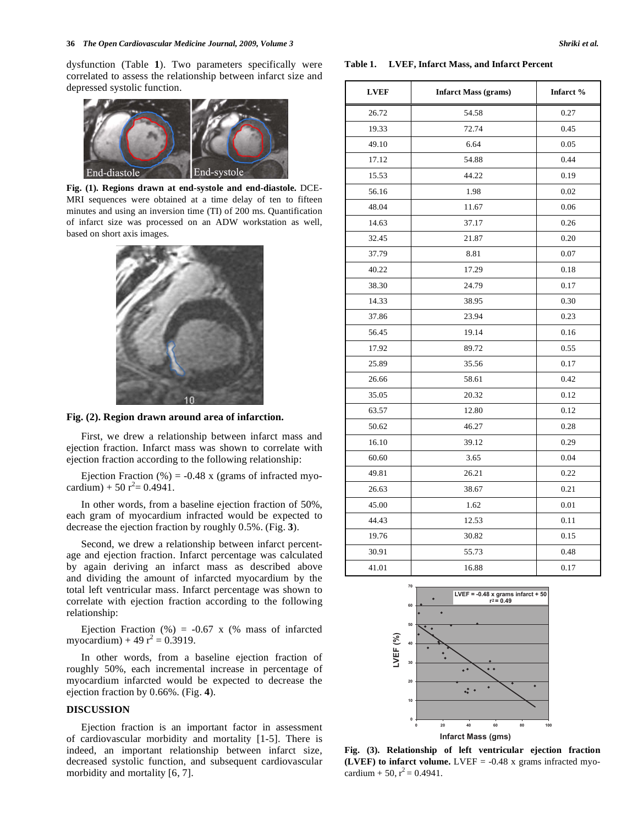dysfunction (Table **1**). Two parameters specifically were correlated to assess the relationship between infarct size and depressed systolic function.



**Fig. (1). Regions drawn at end-systole and end-diastole.** DCE-MRI sequences were obtained at a time delay of ten to fifteen minutes and using an inversion time (TI) of 200 ms. Quantification of infarct size was processed on an ADW workstation as well, based on short axis images.



**Fig. (2). Region drawn around area of infarction.**

 First, we drew a relationship between infarct mass and ejection fraction. Infarct mass was shown to correlate with ejection fraction according to the following relationship:

Ejection Fraction  $%$  = -0.48 x (grams of infracted myocardium) + 50  $r^2$  = 0.4941.

 In other words, from a baseline ejection fraction of 50%, each gram of myocardium infracted would be expected to decrease the ejection fraction by roughly 0.5%. (Fig. **3**).

 Second, we drew a relationship between infarct percentage and ejection fraction. Infarct percentage was calculated by again deriving an infarct mass as described above and dividing the amount of infarcted myocardium by the total left ventricular mass. Infarct percentage was shown to correlate with ejection fraction according to the following relationship:

Ejection Fraction  $(\%) = -0.67$  x  $(\%$  mass of infarcted myocardium) + 49  $r^2 = 0.3919$ .

 In other words, from a baseline ejection fraction of roughly 50%, each incremental increase in percentage of myocardium infarcted would be expected to decrease the ejection fraction by 0.66%. (Fig. **4**).

### **DISCUSSION**

 Ejection fraction is an important factor in assessment of cardiovascular morbidity and mortality [1-5]. There is indeed, an important relationship between infarct size, decreased systolic function, and subsequent cardiovascular morbidity and mortality [6, 7].

## LVEF | Infarct Mass (grams) | Infarct % 26.72 54.58 0.27 19.33 72.74 0.45 49.10 6.64 0.05 17.12 54.88 0.44 15.53 44.22 0.19 56.16 1.98 0.02 48.04 11.67 0.06 14.63 37.17 0.26 32.45 21.87 0.20 37.79 8.81 0.07 40.22 17.29 0.18 38.30 24.79 0.17 14.33 38.95 0.30 37.86 23.94 0.23 56.45 19.14 0.16 17.92 89.72 0.55 25.89 35.56 0.17 26.66 58.61 0.42

**Table 1. LVEF, Infarct Mass, and Infarct Percent** 

| LVEF = -0.48 x grams infarct + 50 |       |      |
|-----------------------------------|-------|------|
|                                   | 70    |      |
| 41.01                             | 16.88 | 0.17 |
| 30.91                             | 55.73 | 0.48 |
| 19.76                             | 30.82 | 0.15 |
| 44.43                             | 12.53 | 0.11 |
| 45.00                             | 1.62  | 0.01 |
| 26.63                             | 38.67 | 0.21 |
| 49.81                             | 26.21 | 0.22 |
| 60.60                             | 3.65  | 0.04 |
| 16.10                             | 39.12 | 0.29 |
| 50.62                             | 46.27 | 0.28 |

35.05 20.32 0.12 63.57 12.80 0.12



**Fig. (3). Relationship of left ventricular ejection fraction (LVEF) to infarct volume.** LVEF  $= -0.48$  x grams infracted myocardium + 50,  $r^2$  = 0.4941.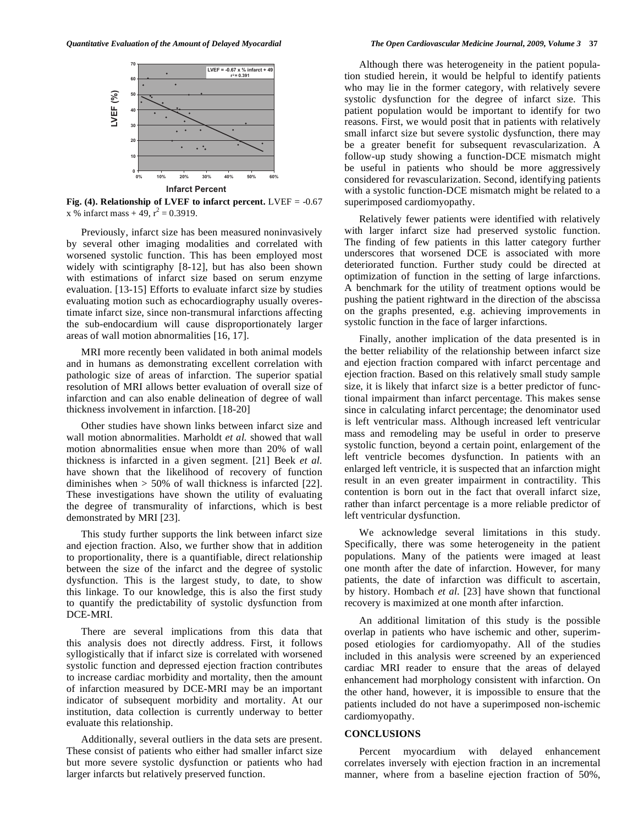

**Fig. (4). Relationship of LVEF to infarct percent.** LVEF = -0.67 x % infarct mass + 49,  $r^2 = 0.3919$ .

 Previously, infarct size has been measured noninvasively by several other imaging modalities and correlated with worsened systolic function. This has been employed most widely with scintigraphy [8-12], but has also been shown with estimations of infarct size based on serum enzyme evaluation. [13-15] Efforts to evaluate infarct size by studies evaluating motion such as echocardiography usually overestimate infarct size, since non-transmural infarctions affecting the sub-endocardium will cause disproportionately larger areas of wall motion abnormalities [16, 17].

 MRI more recently been validated in both animal models and in humans as demonstrating excellent correlation with pathologic size of areas of infarction. The superior spatial resolution of MRI allows better evaluation of overall size of infarction and can also enable delineation of degree of wall thickness involvement in infarction. [18-20]

 Other studies have shown links between infarct size and wall motion abnormalities. Marholdt *et al.* showed that wall motion abnormalities ensue when more than 20% of wall thickness is infarcted in a given segment. [21] Beek *et al.*  have shown that the likelihood of recovery of function diminishes when  $> 50\%$  of wall thickness is infarcted [22]. These investigations have shown the utility of evaluating the degree of transmurality of infarctions, which is best demonstrated by MRI [23].

 This study further supports the link between infarct size and ejection fraction. Also, we further show that in addition to proportionality, there is a quantifiable, direct relationship between the size of the infarct and the degree of systolic dysfunction. This is the largest study, to date, to show this linkage. To our knowledge, this is also the first study to quantify the predictability of systolic dysfunction from DCE-MRI.

 There are several implications from this data that this analysis does not directly address. First, it follows syllogistically that if infarct size is correlated with worsened systolic function and depressed ejection fraction contributes to increase cardiac morbidity and mortality, then the amount of infarction measured by DCE-MRI may be an important indicator of subsequent morbidity and mortality. At our institution, data collection is currently underway to better evaluate this relationship.

 Additionally, several outliers in the data sets are present. These consist of patients who either had smaller infarct size but more severe systolic dysfunction or patients who had larger infarcts but relatively preserved function.

 Although there was heterogeneity in the patient population studied herein, it would be helpful to identify patients who may lie in the former category, with relatively severe systolic dysfunction for the degree of infarct size. This patient population would be important to identify for two reasons. First, we would posit that in patients with relatively small infarct size but severe systolic dysfunction, there may be a greater benefit for subsequent revascularization. A follow-up study showing a function-DCE mismatch might be useful in patients who should be more aggressively considered for revascularization. Second, identifying patients with a systolic function-DCE mismatch might be related to a superimposed cardiomyopathy.

 Relatively fewer patients were identified with relatively with larger infarct size had preserved systolic function. The finding of few patients in this latter category further underscores that worsened DCE is associated with more deteriorated function. Further study could be directed at optimization of function in the setting of large infarctions. A benchmark for the utility of treatment options would be pushing the patient rightward in the direction of the abscissa on the graphs presented, e.g. achieving improvements in systolic function in the face of larger infarctions.

 Finally, another implication of the data presented is in the better reliability of the relationship between infarct size and ejection fraction compared with infarct percentage and ejection fraction. Based on this relatively small study sample size, it is likely that infarct size is a better predictor of functional impairment than infarct percentage. This makes sense since in calculating infarct percentage; the denominator used is left ventricular mass. Although increased left ventricular mass and remodeling may be useful in order to preserve systolic function, beyond a certain point, enlargement of the left ventricle becomes dysfunction. In patients with an enlarged left ventricle, it is suspected that an infarction might result in an even greater impairment in contractility. This contention is born out in the fact that overall infarct size, rather than infarct percentage is a more reliable predictor of left ventricular dysfunction.

 We acknowledge several limitations in this study. Specifically, there was some heterogeneity in the patient populations. Many of the patients were imaged at least one month after the date of infarction. However, for many patients, the date of infarction was difficult to ascertain, by history. Hombach *et al.* [23] have shown that functional recovery is maximized at one month after infarction.

 An additional limitation of this study is the possible overlap in patients who have ischemic and other, superimposed etiologies for cardiomyopathy. All of the studies included in this analysis were screened by an experienced cardiac MRI reader to ensure that the areas of delayed enhancement had morphology consistent with infarction. On the other hand, however, it is impossible to ensure that the patients included do not have a superimposed non-ischemic cardiomyopathy.

#### **CONCLUSIONS**

 Percent myocardium with delayed enhancement correlates inversely with ejection fraction in an incremental manner, where from a baseline ejection fraction of 50%,